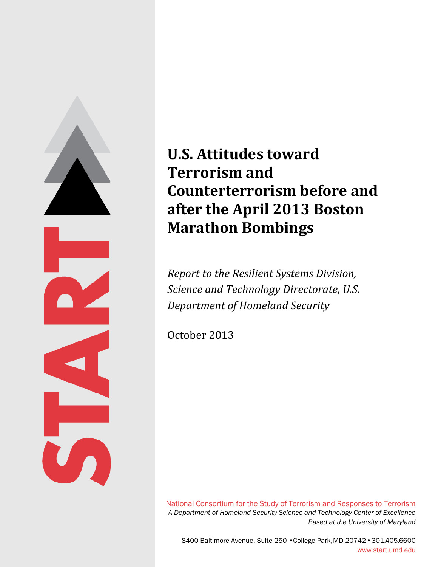

# **U.S. Attitudes toward Terrorism and Counterterrorism before and after the April 2013 Boston Marathon Bombings**

*Report to the Resilient Systems Division, Science and Technology Directorate, U.S. Department of Homeland Security* 

October 2013

National Consortium for the Study of Terrorism and Responses to Terrorism *A Department of Homeland Security Science and Technology Center of Excellence Based at the University of Maryland* 

8400 Baltimore Avenue, Suite 250 • College Park, MD 20742 •301.405.6600 [www.start.umd.edu](http://www.start.umd.edu/)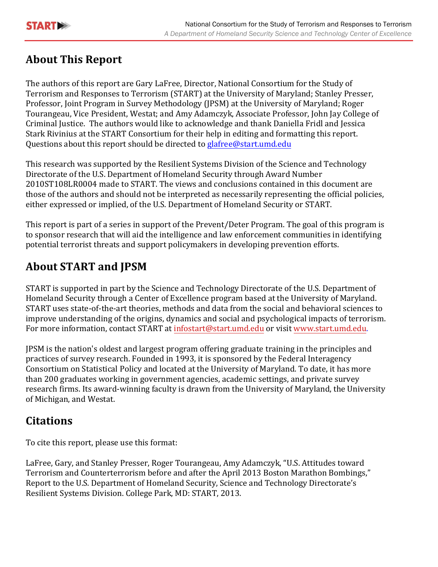

# **About This Report**

The authors of this report are Gary LaFree, Director, National Consortium for the Study of Terrorism and Responses to Terrorism (START) at the University of Maryland; Stanley Presser, Professor, Joint Program in Survey Methodology (JPSM) at the University of Maryland; Roger Tourangeau, Vice President, Westat; and Amy Adamczyk, Associate Professor, John Jay College of Criminal Justice. The authors would like to acknowledge and thank Daniella Fridl and Jessica Stark Rivinius at the START Consortium for their help in editing and formatting this report. Questions about this report should be directed to [glafree@start.umd.edu](mailto:glafree@start.umd.edu)

This research was supported by the Resilient Systems Division of the Science and Technology Directorate of the U.S. Department of Homeland Security through Award Number 2010ST108LR0004 made to START. The views and conclusions contained in this document are those of the authors and should not be interpreted as necessarily representing the official policies, either expressed or implied, of the U.S. Department of Homeland Security or START.

This report is part of a series in support of the Prevent/Deter Program. The goal of this program is to sponsor research that will aid the intelligence and law enforcement communities in identifying potential terrorist threats and support policymakers in developing prevention efforts.

# **About START and JPSM**

START is supported in part by the Science and Technology Directorate of the U.S. Department of Homeland Security through a Center of Excellence program based at the University of Maryland. START uses state-of-the-art theories, methods and data from the social and behavioral sciences to improve understanding of the origins, dynamics and social and psychological impacts of terrorism. For more information, contact START at [infostart@start.umd.edu](mailto:infostart@start.umd.edu) or visi[t www.start.umd.edu.](http://www.start.umd.edu/) 

JPSM is the nation's oldest and largest program offering graduate training in the principles and practices of survey research. Founded in 1993, it is sponsored by the Federal Interagency Consortium on Statistical Policy and located at the University of Maryland. To date, it has more than 200 graduates working in government agencies, academic settings, and private survey research firms. Its award-winning faculty is drawn from the University of Maryland, the University of Michigan, and Westat.

# **Citations**

To cite this report, please use this format:

LaFree, Gary, and Stanley Presser, Roger Tourangeau, Amy Adamczyk, "U.S. Attitudes toward Terrorism and Counterterrorism before and after the April 2013 Boston Marathon Bombings," Report to the U.S. Department of Homeland Security, Science and Technology Directorate's Resilient Systems Division. College Park, MD: START, 2013.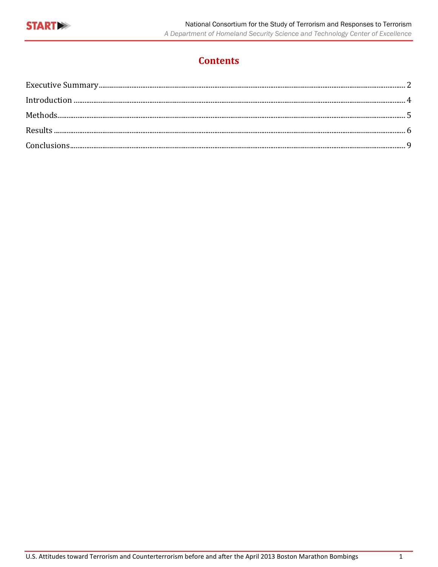

# **Contents**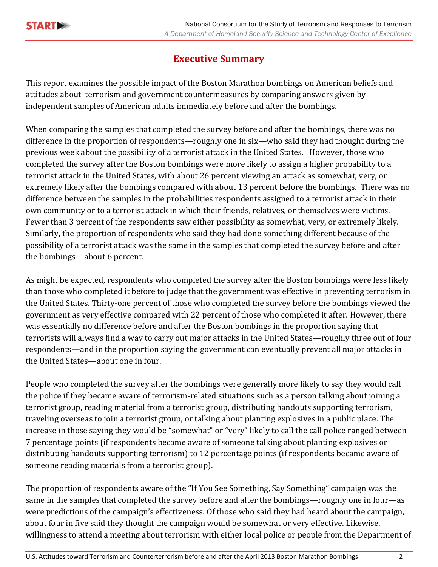

### **Executive Summary**

<span id="page-3-0"></span>This report examines the possible impact of the Boston Marathon bombings on American beliefs and attitudes about terrorism and government countermeasures by comparing answers given by independent samples of American adults immediately before and after the bombings.

When comparing the samples that completed the survey before and after the bombings, there was no difference in the proportion of respondents—roughly one in six—who said they had thought during the previous week about the possibility of a terrorist attack in the United States. However, those who completed the survey after the Boston bombings were more likely to assign a higher probability to a terrorist attack in the United States, with about 26 percent viewing an attack as somewhat, very, or extremely likely after the bombings compared with about 13 percent before the bombings. There was no difference between the samples in the probabilities respondents assigned to a terrorist attack in their own community or to a terrorist attack in which their friends, relatives, or themselves were victims. Fewer than 3 percent of the respondents saw either possibility as somewhat, very, or extremely likely. Similarly, the proportion of respondents who said they had done something different because of the possibility of a terrorist attack was the same in the samples that completed the survey before and after the bombings—about 6 percent.

As might be expected, respondents who completed the survey after the Boston bombings were less likely than those who completed it before to judge that the government was effective in preventing terrorism in the United States. Thirty-one percent of those who completed the survey before the bombings viewed the government as very effective compared with 22 percent of those who completed it after. However, there was essentially no difference before and after the Boston bombings in the proportion saying that terrorists will always find a way to carry out major attacks in the United States—roughly three out of four respondents—and in the proportion saying the government can eventually prevent all major attacks in the United States—about one in four.

People who completed the survey after the bombings were generally more likely to say they would call the police if they became aware of terrorism-related situations such as a person talking about joining a terrorist group, reading material from a terrorist group, distributing handouts supporting terrorism, traveling overseas to join a terrorist group, or talking about planting explosives in a public place. The increase in those saying they would be "somewhat" or "very" likely to call the call police ranged between 7 percentage points (if respondents became aware of someone talking about planting explosives or distributing handouts supporting terrorism) to 12 percentage points (if respondents became aware of someone reading materials from a terrorist group).

The proportion of respondents aware of the "If You See Something, Say Something" campaign was the same in the samples that completed the survey before and after the bombings—roughly one in four—as were predictions of the campaign's effectiveness. Of those who said they had heard about the campaign, about four in five said they thought the campaign would be somewhat or very effective. Likewise, willingness to attend a meeting about terrorism with either local police or people from the Department of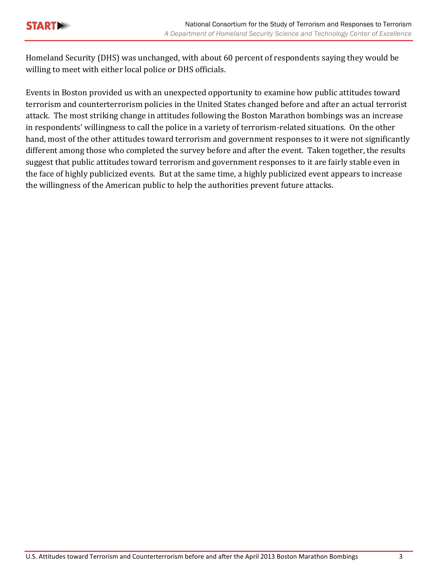

Homeland Security (DHS) was unchanged, with about 60 percent of respondents saying they would be willing to meet with either local police or DHS officials.

Events in Boston provided us with an unexpected opportunity to examine how public attitudes toward terrorism and counterterrorism policies in the United States changed before and after an actual terrorist attack. The most striking change in attitudes following the Boston Marathon bombings was an increase in respondents' willingness to call the police in a variety of terrorism-related situations. On the other hand, most of the other attitudes toward terrorism and government responses to it were not significantly different among those who completed the survey before and after the event. Taken together, the results suggest that public attitudes toward terrorism and government responses to it are fairly stable even in the face of highly publicized events. But at the same time, a highly publicized event appears to increase the willingness of the American public to help the authorities prevent future attacks.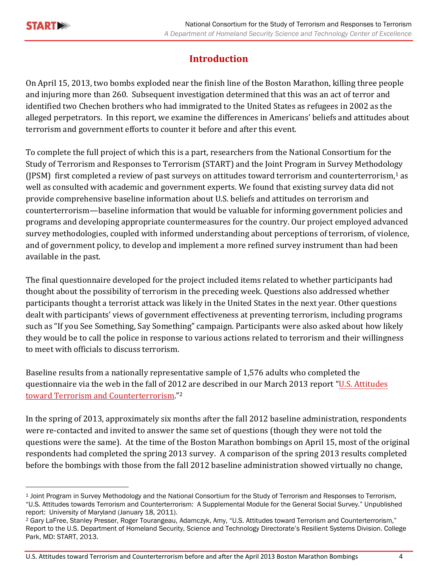

# **Introduction**

<span id="page-5-0"></span>On April 15, 2013, two bombs exploded near the finish line of the Boston Marathon, killing three people and injuring more than 260. Subsequent investigation determined that this was an act of terror and identified two Chechen brothers who had immigrated to the United States as refugees in 2002 as the alleged perpetrators. In this report, we examine the differences in Americans' beliefs and attitudes about terrorism and government efforts to counter it before and after this event.

To complete the full project of which this is a part, researchers from the National Consortium for the Study of Terrorism and Responses to Terrorism (START) and the Joint Program in Survey Methodology (JPSM) first completed a review of past surveys on attitudes toward terrorism and counterterrorism,<sup>1</sup> as well as consulted with academic and government experts. We found that existing survey data did not provide comprehensive baseline information about U.S. beliefs and attitudes on terrorism and counterterrorism—baseline information that would be valuable for informing government policies and programs and developing appropriate countermeasures for the country. Our project employed advanced survey methodologies, coupled with informed understanding about perceptions of terrorism, of violence, and of government policy, to develop and implement a more refined survey instrument than had been available in the past.

The final questionnaire developed for the project included items related to whether participants had thought about the possibility of terrorism in the preceding week. Questions also addressed whether participants thought a terrorist attack was likely in the United States in the next year. Other questions dealt with participants' views of government effectiveness at preventing terrorism, including programs such as "If you See Something, Say Something" campaign. Participants were also asked about how likely they would be to call the police in response to various actions related to terrorism and their willingness to meet with officials to discuss terrorism.

[toward Terrorism and Counterterrorism](http://www.start.umd.edu/start/announcements/announcement.asp?id=513) ."<sup>2</sup> Baseline results from a nationally representative sample of 1,576 adults who completed the questionnaire via the web in the fall of 2012 are described in our March 2013 report "[U.S. Attitudes](http://www.start.umd.edu/start/announcements/announcement.asp?id=513)

In the spring of 2013, approximately six months after the fall 2012 baseline administration, respondents were re-contacted and invited to answer the same set of questions (though they were not told the questions were the same). At the time of the Boston Marathon bombings on April 15, most of the original respondents had completed the spring 2013 survey. A comparison of the spring 2013 results completed before the bombings with those from the fall 2012 baseline administration showed virtually no change,

<sup>1</sup> Joint Program in Survey Methodology and the National Consortium for the Study of Terrorism and Responses to Terrorism, "U.S. Attitudes towards Terrorism and Counterterrorism: A Supplemental Module for the General Social Survey." Unpublished report: University of Maryland (January 18, 2011).

<sup>2</sup> Gary LaFree, Stanley Presser, Roger Tourangeau, Adamczyk, Amy, "U.S. Attitudes toward Terrorism and Counterterrorism," Report to the U.S. Department of Homeland Security, Science and Technology Directorate's Resilient Systems Division. College Park, MD: START, 2013.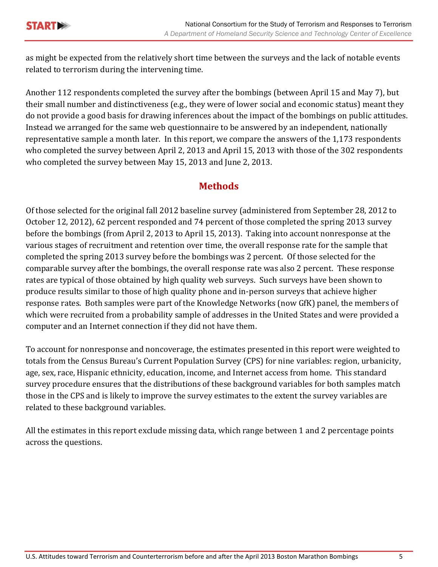

as might be expected from the relatively short time between the surveys and the lack of notable events related to terrorism during the intervening time.

Another 112 respondents completed the survey after the bombings (between April 15 and May 7), but their small number and distinctiveness (e.g., they were of lower social and economic status) meant they do not provide a good basis for drawing inferences about the impact of the bombings on public attitudes. Instead we arranged for the same web questionnaire to be answered by an independent, nationally representative sample a month later. In this report, we compare the answers of the 1,173 respondents who completed the survey between April 2, 2013 and April 15, 2013 with those of the 302 respondents who completed the survey between May 15, 2013 and June 2, 2013.

## **Methods**

<span id="page-6-0"></span>Of those selected for the original fall 2012 baseline survey (administered from September 28, 2012 to October 12, 2012), 62 percent responded and 74 percent of those completed the spring 2013 survey before the bombings (from April 2, 2013 to April 15, 2013). Taking into account nonresponse at the various stages of recruitment and retention over time, the overall response rate for the sample that completed the spring 2013 survey before the bombings was 2 percent. Of those selected for the comparable survey after the bombings, the overall response rate was also 2 percent. These response rates are typical of those obtained by high quality web surveys. Such surveys have been shown to produce results similar to those of high quality phone and in-person surveys that achieve higher response rates. Both samples were part of the Knowledge Networks (now GfK) panel, the members of which were recruited from a probability sample of addresses in the United States and were provided a computer and an Internet connection if they did not have them.

To account for nonresponse and noncoverage, the estimates presented in this report were weighted to totals from the Census Bureau's Current Population Survey (CPS) for nine variables: region, urbanicity, age, sex, race, Hispanic ethnicity, education, income, and Internet access from home. This standard survey procedure ensures that the distributions of these background variables for both samples match those in the CPS and is likely to improve the survey estimates to the extent the survey variables are related to these background variables.

<span id="page-6-1"></span>All the estimates in this report exclude missing data, which range between 1 and 2 percentage points across the questions.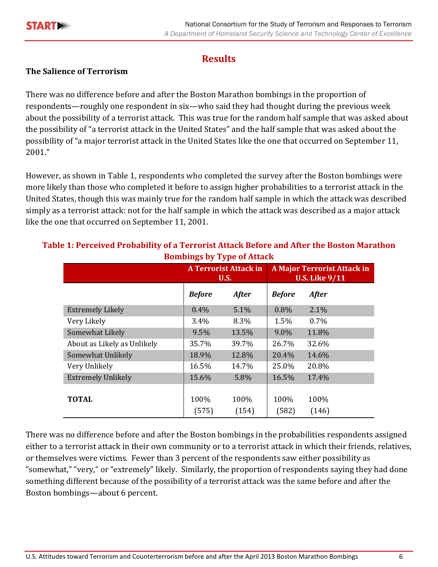

## **Results**

#### **The Salience of Terrorism**

There was no difference before and after the Boston Marathon bombings in the proportion of respondents—roughly one respondent in six—who said they had thought during the previous week about the possibility of a terrorist attack. This was true for the random half sample that was asked about the possibility of "a terrorist attack in the United States" and the half sample that was asked about the possibility of "a major terrorist attack in the United States like the one that occurred on September 11, 2001."

However, as shown in Table 1, respondents who completed the survey after the Boston bombings were more likely than those who completed it before to assign higher probabilities to a terrorist attack in the United States, though this was mainly true for the random half sample in which the attack was described simply as a terrorist attack: not for the half sample in which the attack was described as a major attack like the one that occurred on September 11, 2001.

| ---- - - - - - - -          |                                             |               |               |                                                             |
|-----------------------------|---------------------------------------------|---------------|---------------|-------------------------------------------------------------|
|                             | <b>A Terrorist Attack in</b><br><b>U.S.</b> |               |               | <b>A Major Terrorist Attack in</b><br><b>U.S. Like 9/11</b> |
|                             | <b>Before</b>                               | <b>After</b>  | <b>Before</b> | <b>After</b>                                                |
| <b>Extremely Likely</b>     | $0.4\%$                                     | 5.1%          | 0.8%          | 2.1%                                                        |
| Very Likely                 | 3.4%                                        | 8.3%          | 1.5%          | $0.7\%$                                                     |
| Somewhat Likely             | 9.5%                                        | 13.5%         | 9.0%          | 11.8%                                                       |
| About as Likely as Unlikely | 35.7%                                       | 39.7%         | 26.7%         | 32.6%                                                       |
| Somewhat Unlikely           | 18.9%                                       | 12.8%         | 20.4%         | 14.6%                                                       |
| Very Unlikely               | 16.5%                                       | 14.7%         | 25.0%         | 20.8%                                                       |
| <b>Extremely Unlikely</b>   | 15.6%                                       | 5.8%          | 16.5%         | 17.4%                                                       |
| <b>TOTAL</b>                | 100%<br>(575)                               | 100%<br>(154) | 100%<br>(582) | 100%<br>(146)                                               |

#### **Table 1: Perceived Probability of a Terrorist Attack Before and After the Boston Marathon Bombings by Type of Attack**

There was no difference before and after the Boston bombings in the probabilities respondents assigned either to a terrorist attack in their own community or to a terrorist attack in which their friends, relatives, or themselves were victims. Fewer than 3 percent of the respondents saw either possibility as "somewhat," "very," or "extremely" likely. Similarly, the proportion of respondents saying they had done something different because of the possibility of a terrorist attack was the same before and after the Boston bombings—about 6 percent.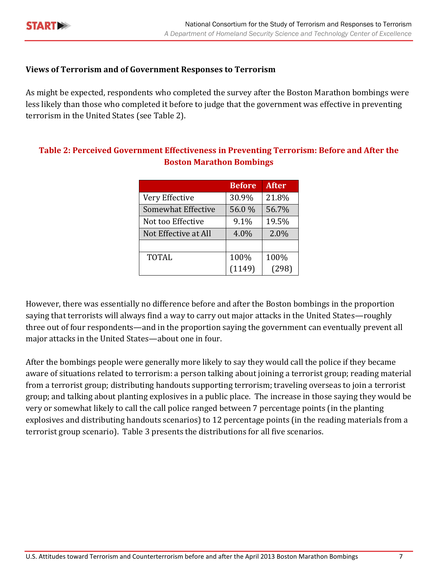

#### **Views of Terrorism and of Government Responses to Terrorism**

As might be expected, respondents who completed the survey after the Boston Marathon bombings were less likely than those who completed it before to judge that the government was effective in preventing terrorism in the United States (see Table 2).

|                           | <b>Before</b> | <b>After</b> |
|---------------------------|---------------|--------------|
| Very Effective            | 30.9%         | 21.8%        |
| <b>Somewhat Effective</b> | 56.0%         | 56.7%        |
| Not too Effective         | 9.1%          | 19.5%        |
| Not Effective at All      | 4.0%          | 2.0%         |
|                           |               |              |
| <b>TOTAL</b>              | 100%          | 100%         |
|                           | (1149)        | (298)        |

#### **Table 2: Perceived Government Effectiveness in Preventing Terrorism: Before and After the Boston Marathon Bombings**

However, there was essentially no difference before and after the Boston bombings in the proportion saying that terrorists will always find a way to carry out major attacks in the United States—roughly three out of four respondents—and in the proportion saying the government can eventually prevent all major attacks in the United States—about one in four.

After the bombings people were generally more likely to say they would call the police if they became aware of situations related to terrorism: a person talking about joining a terrorist group; reading material from a terrorist group; distributing handouts supporting terrorism; traveling overseas to join a terrorist group; and talking about planting explosives in a public place. The increase in those saying they would be very or somewhat likely to call the call police ranged between 7 percentage points (in the planting explosives and distributing handouts scenarios) to 12 percentage points (in the reading materials from a terrorist group scenario). Table 3 presents the distributions for all five scenarios.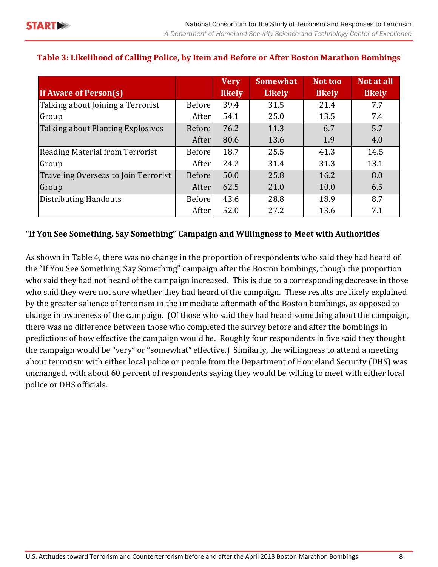|                                      |               | <b>Very</b>   | <b>Somewhat</b> | Not too       | Not at all    |
|--------------------------------------|---------------|---------------|-----------------|---------------|---------------|
| <b>If Aware of Person(s)</b>         |               | <b>likely</b> | <b>Likely</b>   | <b>likely</b> | <b>likely</b> |
| Talking about Joining a Terrorist    | Before        | 39.4          | 31.5            | 21.4          | 7.7           |
| Group                                | After         | 54.1          | 25.0            | 13.5          | 7.4           |
| Talking about Planting Explosives    | Before        | 76.2          | 11.3            | 6.7           | 5.7           |
|                                      | After         | 80.6          | 13.6            | 1.9           | 4.0           |
| Reading Material from Terrorist      | <b>Before</b> | 18.7          | 25.5            | 41.3          | 14.5          |
| Group                                | After         | 24.2          | 31.4            | 31.3          | 13.1          |
| Traveling Overseas to Join Terrorist | Before        | 50.0          | 25.8            | 16.2          | 8.0           |
| Group                                | After         | 62.5          | 21.0            | 10.0          | 6.5           |
| <b>Distributing Handouts</b>         | <b>Before</b> | 43.6          | 28.8            | 18.9          | 8.7           |
|                                      | After         | 52.0          | 27.2            | 13.6          | 7.1           |

#### **Table 3: Likelihood of Calling Police, by Item and Before or After Boston Marathon Bombings**

#### **"If You See Something, Say Something" Campaign and Willingness to Meet with Authorities**

As shown in Table 4, there was no change in the proportion of respondents who said they had heard of the "If You See Something, Say Something" campaign after the Boston bombings, though the proportion who said they had not heard of the campaign increased. This is due to a corresponding decrease in those who said they were not sure whether they had heard of the campaign. These results are likely explained by the greater salience of terrorism in the immediate aftermath of the Boston bombings, as opposed to change in awareness of the campaign. (Of those who said they had heard something about the campaign, there was no difference between those who completed the survey before and after the bombings in predictions of how effective the campaign would be. Roughly four respondents in five said they thought the campaign would be "very" or "somewhat" effective.) Similarly, the willingness to attend a meeting about terrorism with either local police or people from the Department of Homeland Security (DHS) was unchanged, with about 60 percent of respondents saying they would be willing to meet with either local police or DHS officials.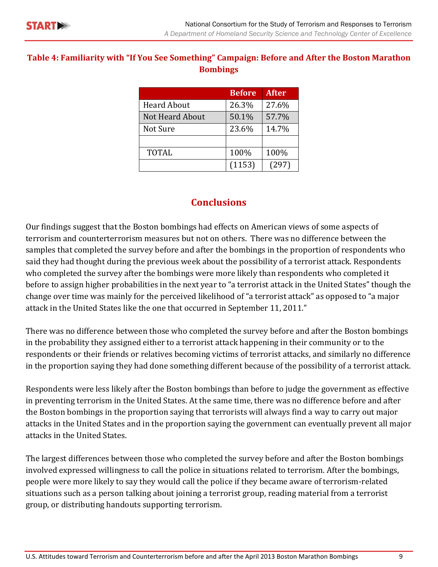#### **Table 4: Familiarity with "If You See Something" Campaign: Before and After the Boston Marathon Bombings**

|                    | <b>Before</b> | <b>After</b> |
|--------------------|---------------|--------------|
| <b>Heard About</b> | 26.3%         | 27.6%        |
| Not Heard About    | 50.1%         | 57.7%        |
| Not Sure           | 23.6%         | 14.7%        |
|                    |               |              |
| <b>TOTAL</b>       | 100%          | 100%         |
|                    | (1153)        | (297)        |

### **Conclusions**

<span id="page-10-0"></span>Our findings suggest that the Boston bombings had effects on American views of some aspects of terrorism and counterterrorism measures but not on others. There was no difference between the samples that completed the survey before and after the bombings in the proportion of respondents who said they had thought during the previous week about the possibility of a terrorist attack. Respondents who completed the survey after the bombings were more likely than respondents who completed it before to assign higher probabilities in the next year to "a terrorist attack in the United States" though the change over time was mainly for the perceived likelihood of "a terrorist attack" as opposed to "a major attack in the United States like the one that occurred in September 11, 2011."

There was no difference between those who completed the survey before and after the Boston bombings in the probability they assigned either to a terrorist attack happening in their community or to the respondents or their friends or relatives becoming victims of terrorist attacks, and similarly no difference in the proportion saying they had done something different because of the possibility of a terrorist attack.

Respondents were less likely after the Boston bombings than before to judge the government as effective in preventing terrorism in the United States. At the same time, there was no difference before and after the Boston bombings in the proportion saying that terrorists will always find a way to carry out major attacks in the United States and in the proportion saying the government can eventually prevent all major attacks in the United States.

The largest differences between those who completed the survey before and after the Boston bombings involved expressed willingness to call the police in situations related to terrorism. After the bombings, people were more likely to say they would call the police if they became aware of terrorism-related situations such as a person talking about joining a terrorist group, reading material from a terrorist group, or distributing handouts supporting terrorism.